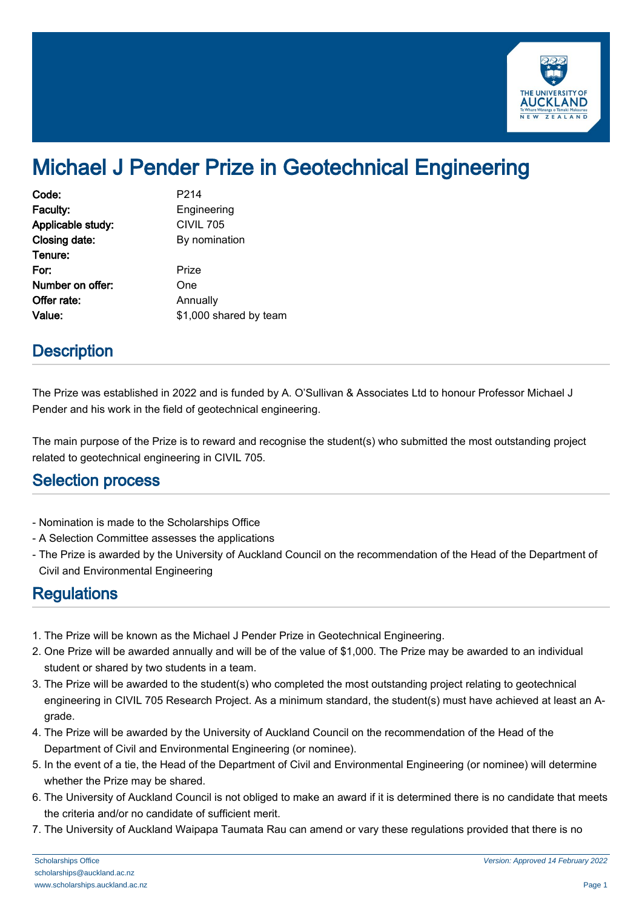

## Michael J Pender Prize in Geotechnical Engineering

| Code:             | P <sub>2</sub> 14      |
|-------------------|------------------------|
| Faculty:          | Engineering            |
| Applicable study: | <b>CIVIL 705</b>       |
| Closing date:     | By nomination          |
| Tenure:           |                        |
| For:              | Prize                  |
| Number on offer:  | One                    |
| Offer rate:       | Annually               |
| Value:            | \$1,000 shared by team |

## **Description**

The Prize was established in 2022 and is funded by A. O'Sullivan & Associates Ltd to honour Professor Michael J Pender and his work in the field of geotechnical engineering.

The main purpose of the Prize is to reward and recognise the student(s) who submitted the most outstanding project related to geotechnical engineering in CIVIL 705.

## Selection process

- Nomination is made to the Scholarships Office
- A Selection Committee assesses the applications
- The Prize is awarded by the University of Auckland Council on the recommendation of the Head of the Department of Civil and Environmental Engineering

## Regulations

- 1. The Prize will be known as the Michael J Pender Prize in Geotechnical Engineering.
- 2. One Prize will be awarded annually and will be of the value of \$1,000. The Prize may be awarded to an individual student or shared by two students in a team.
- 3. The Prize will be awarded to the student(s) who completed the most outstanding project relating to geotechnical engineering in CIVIL 705 Research Project. As a minimum standard, the student(s) must have achieved at least an Agrade.
- 4. The Prize will be awarded by the University of Auckland Council on the recommendation of the Head of the Department of Civil and Environmental Engineering (or nominee).
- 5. In the event of a tie, the Head of the Department of Civil and Environmental Engineering (or nominee) will determine whether the Prize may be shared.
- 6. The University of Auckland Council is not obliged to make an award if it is determined there is no candidate that meets the criteria and/or no candidate of sufficient merit.
- 7. The University of Auckland Waipapa Taumata Rau can amend or vary these regulations provided that there is no